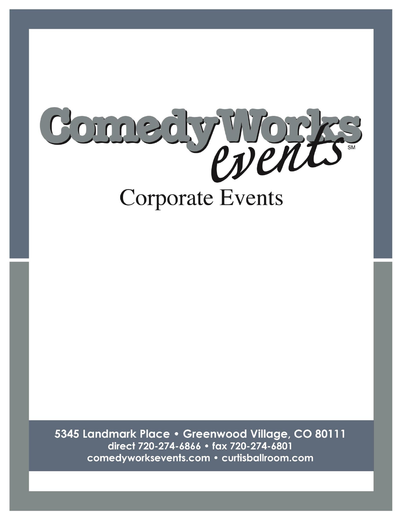

5345 Landmark Place · Greenwood Village, CO 80111 direct 720-274-6866 · fax 720-274-6801 comedyworksevents.com · curtisballroom.com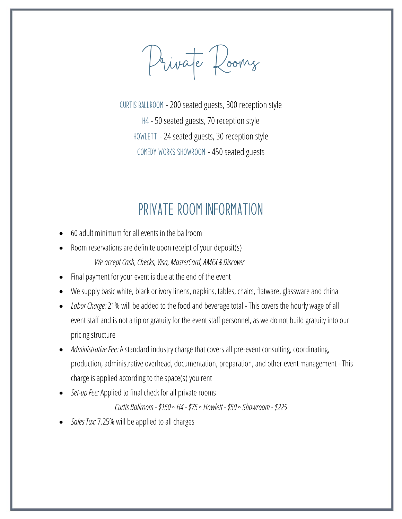Private Rooms

CURTIS BALLROOM - 200 seated guests, 300 reception style H4 - 50 seated guests, 70 reception style HOWLETT - 24 seated guests, 30 reception style Comedy Works Showroom - 450 seated guests

## PRIVATE ROOM INFORMATION

- 60 adult minimum for all events in the ballroom
- Room reservations are definite upon receipt of your deposit(s) *We accept Cash, Checks, Visa, MasterCard, AMEX& Discover*
- Final payment for your event is due at the end of the event
- We supply basic white, black or ivory linens, napkins, tables, chairs, flatware, glassware and china
- *Labor Charge:* 21% will be added to the food and beverage total This covers the hourly wage of all event staff and is not a tip or gratuity for the event staff personnel, as we do not build gratuity into our pricing structure
- *Administrative Fee:*A standard industry charge that covers all pre-event consulting, coordinating, production, administrative overhead, documentation, preparation, and other event management - This charge is applied according to the space(s) you rent
- *Set-up Fee:*Applied to final check for all private rooms

*Curtis Ballroom -\$150 ◦ H4 -\$75 ◦ Howlett -\$50 ◦Showroom - \$225*

• *Sales Tax:* 7.25% will be applied to all charges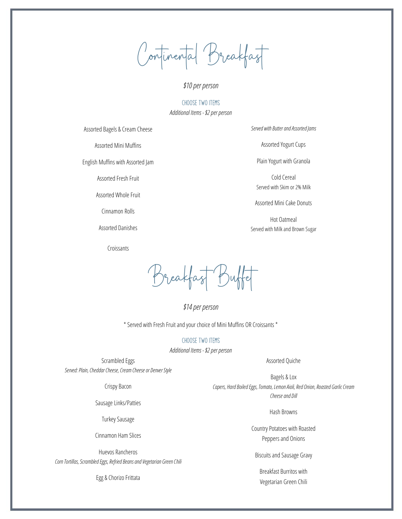Continental Breakfast

#### *\$10per person*

#### Choose Two Items *Additional Items -\$2 per person*

Assorted Bagels & Cream Cheese

Assorted Mini Muffins

English Muffins with Assorted Jam

Assorted Fresh Fruit

Assorted Whole Fruit

Cinnamon Rolls

Assorted Danishes

Croissants

*Served with Butter and Assorted Jams*

Assorted Yogurt Cups

Plain Yogurt with Granola

Cold Cereal Served with Skim or 2% Milk

Assorted Mini Cake Donuts

Hot Oatmeal Served with Milk and Brown Sugar

Breakfast Buffet

*\$14per person*

\* Served with Fresh Fruit and your choice of Mini Muffins OR Croissants \*

Choose Two Items

*Additional Items -\$2 per person*

Scrambled Eggs *Served: Plain, Cheddar Cheese, Cream Cheese or Denver Style*

Crispy Bacon

Sausage Links/Patties

Turkey Sausage

Cinnamon Ham Slices

Huevos Rancheros *Corn Tortillas, Scrambled Eggs, Refried Beans and Vegetarian Green Chili*

Egg & Chorizo Frittata

Assorted Quiche

Bagels & Lox *Capers, Hard Boiled Eggs, Tomato, Lemon Aioli, Red Onion, Roasted Garlic Cream Cheese and Dill*

Hash Browns

Country Potatoes with Roasted Peppers and Onions

Biscuits and Sausage Gravy

Breakfast Burritos with Vegetarian Green Chili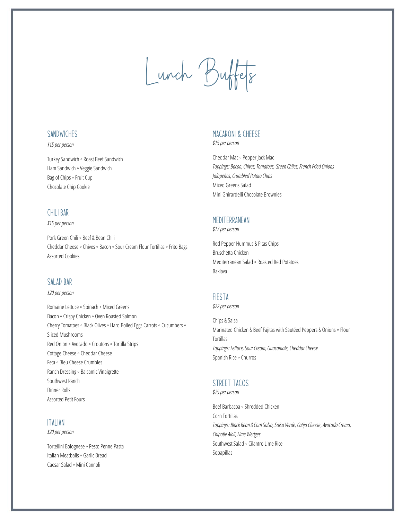# Lunch Buffets

#### **SANDWICHES**

#### *\$15per person*

Turkey Sandwich ◦ Roast Beef Sandwich Ham Sandwich ◦Veggie Sandwich Bag of Chips ◦ Fruit Cup Chocolate Chip Cookie

#### Chili Bar

#### *\$15per person*

Pork Green Chili ◦ Beef & Bean Chili Cheddar Cheese ◦ Chives ◦ Bacon ◦Sour Cream Flour Tortillas ◦ Frito Bags Assorted Cookies

#### SAI AD BAR

#### *\$20per person*

Romaine Lettuce ◦Spinach ◦ Mixed Greens Bacon ◦ Crispy Chicken ◦ Oven Roasted Salmon Cherry Tomatoes ◦ Black Olives ◦ Hard Boiled Eggs Carrots ◦ Cucumbers ◦ Sliced Mushrooms Red Onion ◦Avocado ◦ Croutons ◦ Tortilla Strips Cottage Cheese◦ Cheddar Cheese Feta ◦ Bleu Cheese Crumbles Ranch Dressing ◦ Balsamic Vinaigrette Southwest Ranch Dinner Rolls Assorted Petit Fours

#### **ITALIAN**

*\$20 per person*

Tortellini Bolognese◦ Pesto Penne Pasta Italian Meatballs ◦ Garlic Bread Caesar Salad ◦ Mini Cannoli

## MACARONI & CHFFSF

*\$15per person*

Cheddar Mac ◦ Pepper Jack Mac *Toppings: Bacon, Chives, Tomatoes, Green Chiles, French Fried Onions Jalapeños, Crumbled Potato Chips* Mixed Greens Salad Mini Ghirardelli Chocolate Brownies

### **MEDITERRANEAN**

*\$17per person*

Red Pepper Hummus & Pitas Chips Bruschetta Chicken Mediterranean Salad ◦ Roasted Red Potatoes Baklava

## Fiesta

*\$22 per person*

Chips & Salsa Marinated Chicken & Beef Fajitas with Sautéed Peppers & Onions ◦ Flour **Tortillas** *Toppings: Lettuce, Sour Cream, Guacamole, Cheddar Cheese* Spanish Rice ◦ Churros

## STRFFT TACOS

*\$25per person*

Beef Barbacoa ◦Shredded Chicken Corn Tortillas *Toppings: Black Bean & Corn Salsa, Salsa Verde, Cotija Cheese*, *Avocado Crema, Chipotle Aioli, Lime Wedges* Southwest Salad ◦ Cilantro Lime Rice Sopapillas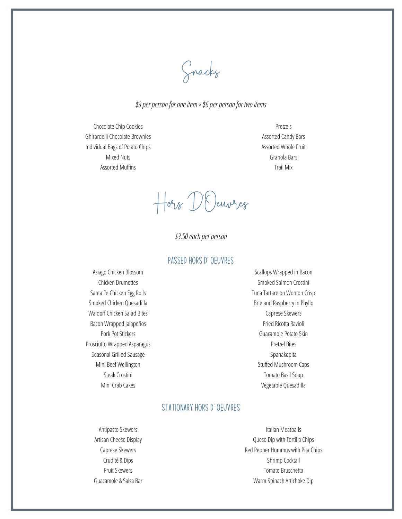Snacks

#### *\$3 per person for one item ◦\$6 per person for two items*

Chocolate Chip Cookies Ghirardelli Chocolate Brownies Individual Bags of Potato Chips Mixed Nuts Assorted Muffins

Pretzels Assorted Candy Bars Assorted Whole Fruit Granola Bars Trail Mix

Hors D'Oeuvres

*\$3.50each per person*

## Passed Hors D'Oeuvres

Asiago Chicken Blossom Chicken Drumettes Santa Fe Chicken Egg Rolls Smoked Chicken Quesadilla Waldorf Chicken Salad Bites Bacon Wrapped Jalapeños Pork Pot Stickers Prosciutto Wrapped Asparagus Seasonal Grilled Sausage Mini Beef Wellington Steak Crostini Mini Crab Cakes

Scallops Wrapped in Bacon Smoked Salmon Crostini Tuna Tartare on Wonton Crisp Brie and Raspberry in Phyllo Caprese Skewers Fried Ricotta Ravioli Guacamole Potato Skin Pretzel Bites Spanakopita Stuffed Mushroom Caps Tomato Basil Soup Vegetable Quesadilla

## STATIONARY HORS D' OEUVRES

Antipasto Skewers Artisan Cheese Display Caprese Skewers Crudité & Dips Fruit Skewers Guacamole & Salsa Bar

Italian Meatballs Queso Dip with Tortilla Chips Red Pepper Hummus with Pita Chips Shrimp Cocktail Tomato Bruschetta Warm Spinach Artichoke Dip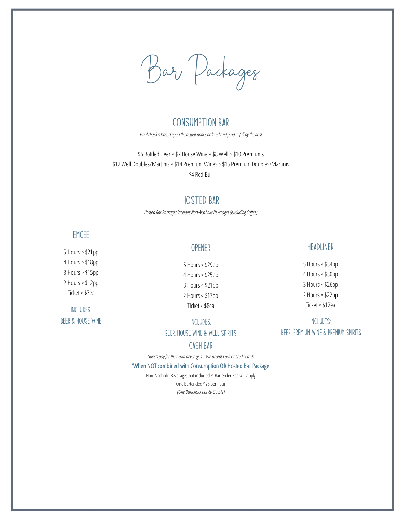Bar Packages

## Consumption Bar

*Final check is based upon the actual drinks ordered and paid in full by the host*

\$6 Bottled Beer ◦ \$7 House Wine ◦ \$8 Well ◦ \$10 Premiums \$12 Well Doubles/Martinis ◦ \$14 Premium Wines ◦ \$15 Premium Doubles/Martinis \$4 Red Bull

## Hosted Bar

*Hosted Bar Packages includes Non-Alcoholic Beverages (excluding Coffee)*

## **EMCEE**

5 Hours ◦ \$21pp 4 Hours ◦ \$18pp 3 Hours ◦ \$15pp 2 Hours ◦ \$12pp Ticket ◦ \$7ea

Includes: Beer & House Wine

## Opener

5 Hours ◦ \$29pp 4 Hours ◦ \$25pp 3 Hours ◦ \$21pp 2 Hours ◦ \$17pp Ticket ◦ \$8ea

#### Includes:

Beer, House Wine & Well Spirits

#### CASH BAR

*Guests pay for their own beverages – We accept Cash or Credit Cards*

#### \*When NOT combined with Consumption OR Hosted Bar Package:

Non-Alcoholic Beverages not included ◦ Bartender Fee will apply One Bartender: \$25 per hour *(One Bartender per 60 Guests)*

#### Headliner

5 Hours ◦ \$34pp 4 Hours ◦ \$30pp 3 Hours ◦ \$26pp 2 Hours ◦ \$22pp Ticket ◦ \$12ea

Includes:

Beer, Premium Wine & Premium Spirits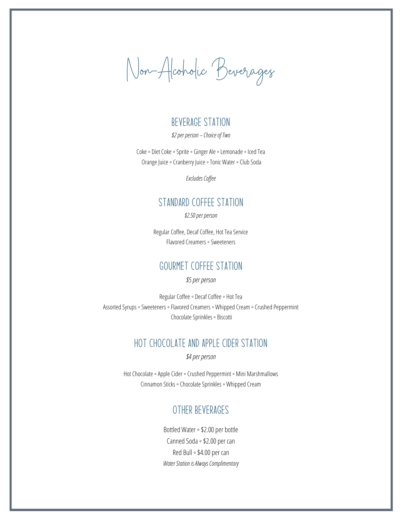Non-Alcoholic Beverages

## BEVERAGE STATION

*\$2 per person – Choice of Two*

Coke ◦ Diet Coke ◦Sprite ◦ Ginger Ale ◦ Lemonade ◦ Iced Tea Orange Juice ◦ Cranberry Juice ◦ Tonic Water ◦ Club Soda

*Excludes Coffee*

## STANDARD COFFEE STATION

*\$2.50 per person*

Regular Coffee, Decaf Coffee, Hot Tea Service Flavored Creamers ◦Sweeteners

## Gourmet coffee station

*\$5 per person*

Regular Coffee ◦ Decaf Coffee ◦ Hot Tea Assorted Syrups ◦Sweeteners ◦ Flavored Creamers ◦ Whipped Cream ◦ Crushed Peppermint Chocolate Sprinkles ◦ Biscotti

## HOT CHOCOLATE AND APPLE CIDER STATION

*\$4 per person*

Hot Chocolate ◦Apple Cider ◦ Crushed Peppermint ◦ Mini Marshmallows Cinnamon Sticks ◦ Chocolate Sprinkles ◦ Whipped Cream

## Other beverages

Bottled Water ◦ \$2.00 per bottle Canned Soda ◦ \$2.00 per can Red Bull ◦ \$4.00 per can *Water Station is Always Complimentary*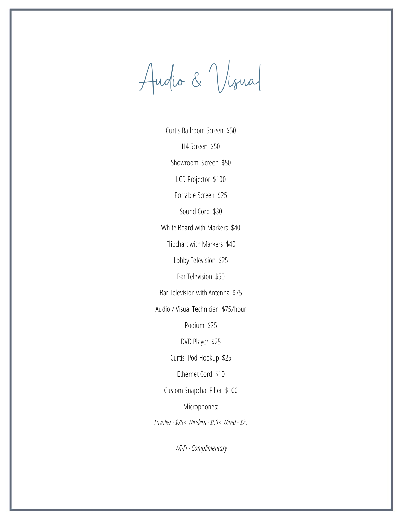Audio & Visual

Curtis Ballroom Screen \$50 H4 Screen \$50 Showroom Screen \$50 LCD Projector \$100 Portable Screen \$25 Sound Cord \$30 White Board with Markers \$40 Flipchart with Markers \$40 Lobby Television \$25 Bar Television \$50 Bar Television with Antenna \$75 Audio / Visual Technician \$75/hour Podium \$25 DVD Player \$25 Curtis iPod Hookup \$25 Ethernet Cord \$10 Custom Snapchat Filter \$100 Microphones: *Lavalier -\$75 ◦ Wireless -\$50 ◦ Wired -\$25*

*Wi-Fi -Complimentary*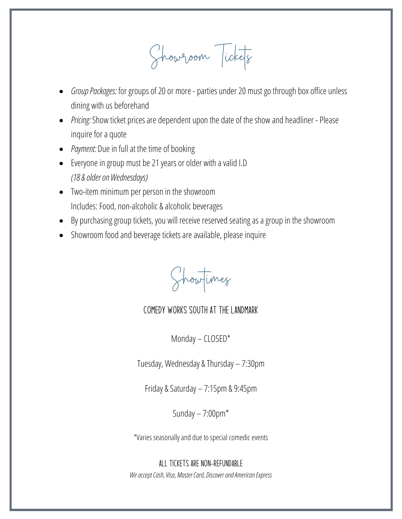Showroom Tickets

- *Group Packages:* for groups of 20 or more parties under 20 must go through box office unless dining with us beforehand
- *Pricing:* Show ticket prices are dependent upon the date of the show and headliner Please inquire for a quote
- *Payment:* Due in full at the time of booking
- Everyone in group must be 21 years or older with a valid I.D *(18 & older on Wednesdays)*
- Two-item minimum per person in the showroom Includes: Food, non-alcoholic & alcoholic beverages
- By purchasing group tickets, you will receive reserved seating as a group in the showroom
- Showroom food and beverage tickets are available, please inquire

Showtimes

## Comedy Works South at The Landmark

Monday – CLOSED\*

Tuesday, Wednesday & Thursday – 7:30pm

Friday & Saturday – 7:15pm & 9:45pm

Sunday – 7:00pm\*

\*Varies seasonally and due to special comedic events

ALL TICKETS ARE NON-REFUNDABLE *We accept Cash, Visa, Master Card, Discover and American Express*